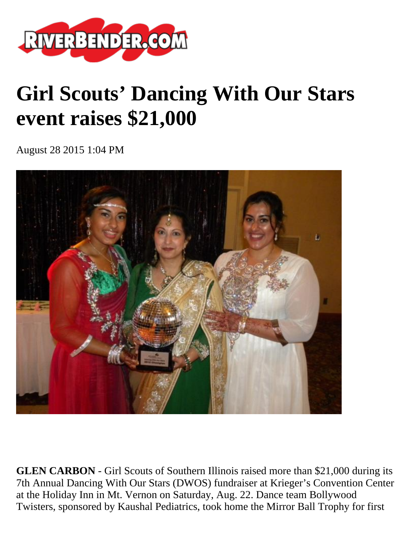

## **Girl Scouts' Dancing With Our Stars event raises \$21,000**

August 28 2015 1:04 PM



**GLEN CARBON** - Girl Scouts of Southern Illinois raised more than \$21,000 during its 7th Annual Dancing With Our Stars (DWOS) fundraiser at Krieger's Convention Center at the Holiday Inn in Mt. Vernon on Saturday, Aug. 22. Dance team Bollywood Twisters, sponsored by Kaushal Pediatrics, took home the Mirror Ball Trophy for first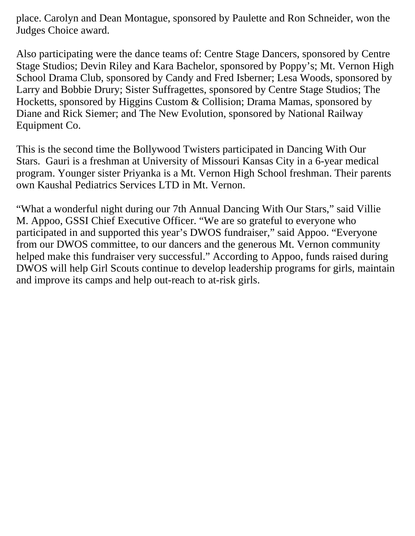place. Carolyn and Dean Montague, sponsored by Paulette and Ron Schneider, won the Judges Choice award.

Also participating were the dance teams of: Centre Stage Dancers, sponsored by Centre Stage Studios; Devin Riley and Kara Bachelor, sponsored by Poppy's; Mt. Vernon High School Drama Club, sponsored by Candy and Fred Isberner; Lesa Woods, sponsored by Larry and Bobbie Drury; Sister Suffragettes, sponsored by Centre Stage Studios; The Hocketts, sponsored by Higgins Custom & Collision; Drama Mamas, sponsored by Diane and Rick Siemer; and The New Evolution, sponsored by National Railway Equipment Co.

This is the second time the Bollywood Twisters participated in Dancing With Our Stars. Gauri is a freshman at University of Missouri Kansas City in a 6-year medical program. Younger sister Priyanka is a Mt. Vernon High School freshman. Their parents own Kaushal Pediatrics Services LTD in Mt. Vernon.

"What a wonderful night during our 7th Annual Dancing With Our Stars," said Villie M. Appoo, GSSI Chief Executive Officer. "We are so grateful to everyone who participated in and supported this year's DWOS fundraiser," said Appoo. "Everyone from our DWOS committee, to our dancers and the generous Mt. Vernon community helped make this fundraiser very successful." According to Appoo, funds raised during DWOS will help Girl Scouts continue to develop leadership programs for girls, maintain and improve its camps and help out-reach to at-risk girls.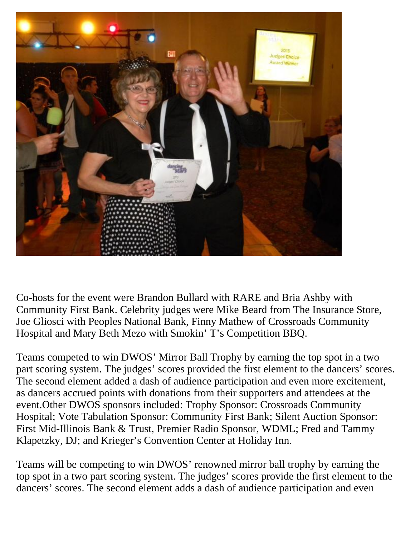

Co-hosts for the event were Brandon Bullard with RARE and Bria Ashby with Community First Bank. Celebrity judges were Mike Beard from The Insurance Store, Joe Gliosci with Peoples National Bank, Finny Mathew of Crossroads Community Hospital and Mary Beth Mezo with Smokin' T's Competition BBQ.

Teams competed to win DWOS' Mirror Ball Trophy by earning the top spot in a two part scoring system. The judges' scores provided the first element to the dancers' scores. The second element added a dash of audience participation and even more excitement, as dancers accrued points with donations from their supporters and attendees at the event.Other DWOS sponsors included: Trophy Sponsor: Crossroads Community Hospital; Vote Tabulation Sponsor: Community First Bank; Silent Auction Sponsor: First Mid-Illinois Bank & Trust, Premier Radio Sponsor, WDML; Fred and Tammy Klapetzky, DJ; and Krieger's Convention Center at Holiday Inn.

Teams will be competing to win DWOS' renowned mirror ball trophy by earning the top spot in a two part scoring system. The judges' scores provide the first element to the dancers' scores. The second element adds a dash of audience participation and even